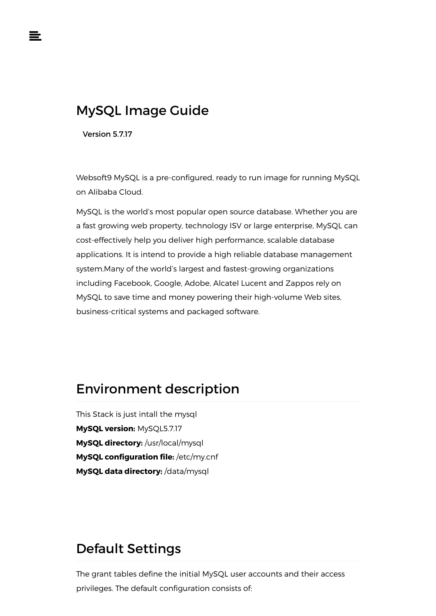# MySQL Image Guide

Version 5.7.17

Websoft9 MySQL is a pre-configured, ready to run image for running MySQL on Alibaba Cloud.

MySQL is the world's most popular open source database. Whether you are a fast growing web property, technology ISV or large enterprise, MySQL can cost-effectively help you deliver high performance, scalable database applications. It is intend to provide a high reliable database management system.Many of the world's largest and fastest-growing organizations including Facebook, Google, Adobe, Alcatel Lucent and Zappos rely on MySQL to save time and money powering their high-volume Web sites, business-critical systems and packaged software.

# Environment description

This Stack is just intall the mysql **MySQL version:** MySQL5.7.17 **MySQL directory:** /usr/local/mysql **MySQL configuration file:** /etc/my.cnf **MySQL data directory:** /data/mysql

# Default Settings

The grant tables define the initial MySQL user accounts and their access privileges. The default configuration consists of: